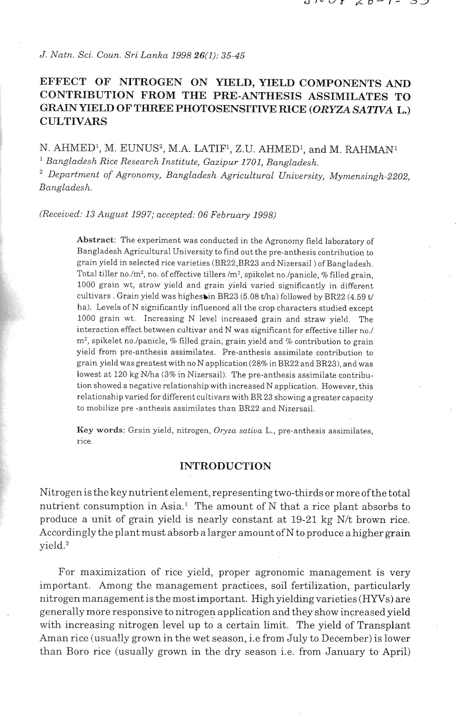*J. Natn. Sci. Coun. Sri Lanka 1998 26(1): 35-45* 

# **EFFECT OF NITROGEN ON YIELD, YIELD COMPONENTS AND CONTRIBUTION FROM THE PRE-ANTHESIS ASSIMILATES TO GRAIN YIELD OF THEWE PHOTOSENSITIVE RICE (ORYZA** *SATNA* **L.) CULTNARS**

N. AHMED<sup>1</sup>, M. EUNUS<sup>2</sup>, M.A. LATIF<sup>1</sup>, Z.U. AHMED<sup>1</sup>, and M. RAHMAN<sup>1</sup> *Bangladesh Rice Research Institute, Gazipur 1701, Bangladesh.* 

<sup>2</sup> Department of Agronomy, Bangladesh Agricultural University, Mymensingh-2202, *Bnngladeslz.* 

*(Received: 13 August 1997; accepted: 06 February 1998)* 

Abstract: The experiment was conducted in the Agronomy field laboratory of Bangladesh Agricultural University to find out the pre-anthesis contribution to grain yield in selected rice varieties (BR22,BR23 and Nizersail ) of Bangladesh. Total tiller no./m<sup>2</sup>, no. of effective tillers /m<sup>2</sup>, spikelet no./panicle, % filled grain, 1000 grain wt, straw yield and grain yield varied significantly in different cultivars . Grain yield was highesbin BR23 (5.08 tha) followed by BR22 (4.59 **t/**  ha). Levels of N significantly influenced all the crop characters studied except 1000 grain wt. Increasing N level increased grain and straw yielcl. The interaction effect between cultivar and N was significant for effective tiller no./ m2, spilrelet no./panicle, **5%** filled grain, grain yield and %contribution to grain yield from pre-anthesis assimilates. Pre-anthesis assimilate contribution to grain yield was greatest with no N application (28%in BR22 and BR23), and was lowest at 120 kg N/ha (3% in Nizersail). The pre-anthesis assimilate contribution showed a negative relationship with increased N application. However, this relationship varied for different cultivars with BR 23 showing a greater capacity to mobilize pre -anthesis assimilates than BR22 and Nizersail.

**Key words:** Grain yield, nitrogen, *Oryza satiua* L., pre-anthesis assimilates, rice.

## **INTRODUCTION**

Nitrogenis the key nutrient element, representingtwo-thirds or more of the total nutrient consumption in Asia.<sup>1</sup> The amount of N that a rice plant absorbs to produce a unit of grain yield is nearly constant at 19-21 kg N/t brown rice. Accordingly the plant must absorb alarger amount ofN to produce a higher grain  $vield.<sup>2</sup>$ 

For maximization of rice yield, proper agronomic management is very important. Among the management practices, soil fertilization, particularly nitrogen management is the most important. High yielding varieties (HYVs) are generally more responsive to nitrogep application and they show increased yield with increasing nitrogen level up to a certain limit. The yield of Transplant Aman rice (usually grown in the wet season, i.e from July to December) is lower than Boro rice (usually grown in the dry season i.e. from January to April)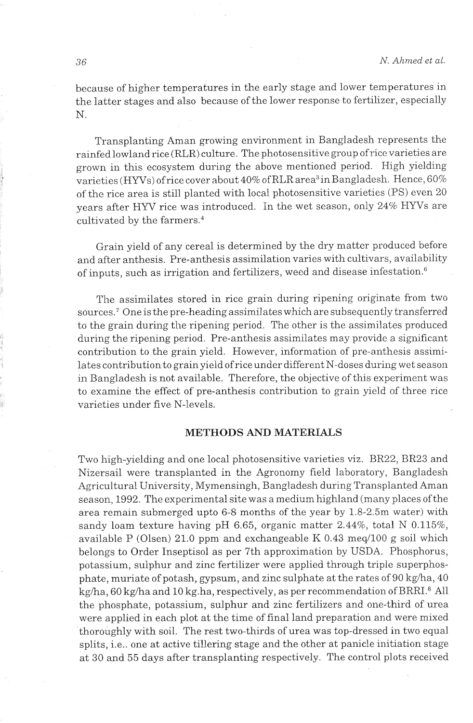because of higher temperatures in the early stage and lower temperatures in the latter stages and also because of the Iower response to fertilizer, especially N.

Transplanting Aman growing environment in Bangladesh represents the rainfed lowland rice (RLR) culture. The photosensitive group of rice varieties are grown in this ecosystem during the above mentioned period. High yielding varieties (HYVs) of rice cover about 40% of RLR area<sup>3</sup> in Bangladesh. Hence, 60% of the rice area is still planted with local photosensitive varieties (PS) even 20 years after HYV rice was introduced. In the wet season, only 24% HYVs are cultivated by the farmers.<sup>4</sup>

Grain yield of any cereal is determined by the dry matter produced before and after anthesis. Pre-anthesis assimilation varies with cultivars, availability of inputs, such as irrigation and fertilizers, weed and disease infestation.<sup>6</sup>

The assimilates stored in rice grain during ripening originate from two sources.<sup>7</sup> One is the pre-heading assimilates which are subsequently transferred to the grain during the ripening period. The other is the assimilates produced during the ripening period. Pre-anthesis assimilates may provide a significant contribution to the grain yield. However, information of pre-anthesis assimilates contribution to grain yield ofrice under different N-doses during wet season in Bangladesh is not available. Therefore, the objective of this experiment was to examine the effect of' pre-anthesis contribution to grain yield of three rice varieties under five N-levels.

#### **METHODS AND MATERIALS**

Two high-yielding and one local photosensitive varieties viz. RR22, BR23 and Nizersail were transplanted in the Agronomy field laboratory, Bangladesh Agricultural University, Mymensingh, Bangladesh during Transplanted Aman season, 1992. The experimental site was a medium highland (many places ofthe area remain submerged upto 6-8 months of the year by 1.8-2.5m water) with sandy loam texture having pH 6.65, organic matter 2.44%, total N 0.115%, available P (Olsen) 21.0 ppm and exchangeable K 0.43 meq/100 g soil which belongs to Order Inseptisol as per 7th approximation by USDA. Phosphorus, potassium, sulphur and zinc fertilizer were applied through triple superphosphate, muriate of potash, gypsum, and zinc sulphate at the rates of 90 kglha, 40  $kg/ha$ , 60 kg/ha and 10 kg.ha, respectively, as per recommendation of BRRI.<sup>8</sup> All the phosphate, potassium, sulphur and zinc fertilizers and one-third of urea were applied in each plot at the time of final land preparation and were mixed thoroughly with soil. The rest two-thirds of urea was top-dressed in two equal splits, i.e.. one at active tillering stage and the other at panicle initiation stage at 30 and 55 days after transplanting respectively. The control plots received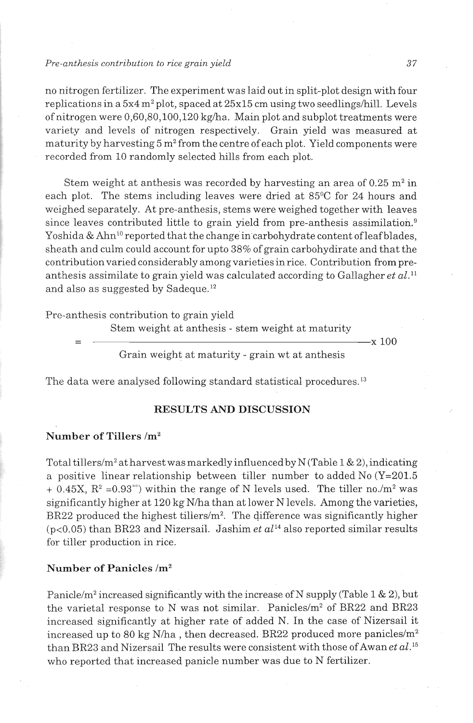*Pre-anthesis contribution to rice grain yield* **37** 

no nitrogen fertilizer. The experiment was laid out in split-plot design with four replications in a  $5x4 \text{ m}^2$  plot, spaced at  $25x15 \text{ cm}$  using two seedlings/hill. Levels of nitrogen were  $0.60,80,100,120$  kg/ha. Main plot and subplot treatments were variety and levels of nitrogen respectively. Grain yield was measured at maturity by harvesting  $5 \text{ m}^2$  from the centre of each plot. Yield components were recorded from 10 randomly selected hills from each plot.

Stem weight at anthesis was recorded by harvesting an area of  $0.25 \text{ m}^2$  in each plot. The stems including leaves were dried at  $85^{\circ}$ C for 24 hours and weighed separately. At pre-anthesis, stems were weighed together with leaves since leaves contributed little to grain yield from pre-anthesis assimilation." Yoshida & Ahn<sup>10</sup> reported that the change in carbohydrate content of leaf blades, sheath and culm could account for upto 38% of grain carbohydirate and that the contribution varied considerably among varieties in rice. Contribution from preanthesis assimilate to grain yield was calculated according to Gallagher *et al.*<sup>11</sup> and also as suggested by Sadeque.<sup>12</sup>

Pre-anthesis contribution to grain yield

Stem weight at anthesis - stem weight at maturity  $\frac{1}{2}$  x 100

Grain weight at maturity - grain wt at anthesis

The data were analysed following standard statistical procedures.<sup>13</sup>

## RESULTS AND DISCUSSION

# Number **of** Tillers /m2

Total tillers/m<sup>2</sup> at harvest was markedly influenced by N (Table 1 & 2), indicating a positive linear relationship between tiller number to added No  $(Y=201.5)$  $+$  0.45X,  $R^2$  =0.93<sup>\*\*</sup>) within the range of N levels used. The tiller no./m<sup>2</sup> was significantly higher at 120 kg Nha than at lower N levels. Among the varieties, BR22 produced the highest tillers/m2. The difference was significantly higher  $(p<0.05)$  than BR23 and Nizersail. Jashim *et al*<sup>14</sup> also reported similar results for tiller production in rice.

## Number **of** Panicles /m2

Panicle/m<sup>2</sup> increased significantly with the increase of N supply (Table 1 & 2), but the varietal response to N was not similar. Panicles/m2 of BR22 and BR23 increased significantly at higher rate of added N. In the case of Nizersail it increased up to 80 kg N/ha, then decreased. BR22 produced more panicles/m<sup>2</sup> than BR23 and Nizersail The results were consistent with those of Awan *et al.*<sup>15</sup> who reported that increased panicle number was due to N fertilizer.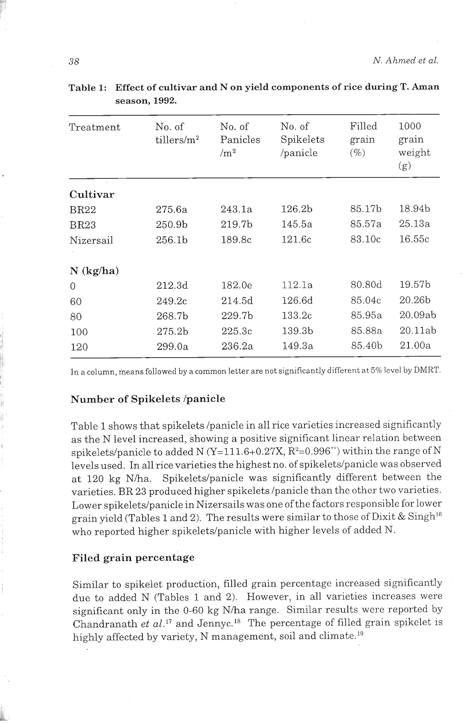| Treatment   | No. of<br>tillers/m <sup>2</sup> | No. of<br>Panicles<br>$\rm /m^2$ | No. of<br>Spikelets<br>/panicle | Filled<br>grain<br>$(\%)$ | 1000<br>grain<br>weight<br>(g) |
|-------------|----------------------------------|----------------------------------|---------------------------------|---------------------------|--------------------------------|
| Cultivar    |                                  |                                  |                                 |                           |                                |
| <b>BR22</b> | 275.6a                           | 243.1a                           | 126.2 <sub>b</sub>              | 85.17b                    | 18.94b                         |
| <b>BR23</b> | 250.9b                           | 219.7b                           | 145.5a                          | 85.57a                    | 25.13a                         |
| Nizersail   | 256.1 <sub>b</sub>               | 189.8c                           | 121.6c                          | 83.10c                    | 16.55c                         |
| $N$ (kg/ha) |                                  |                                  |                                 |                           |                                |
| $\Omega$    | 212.3d                           | 182.0e                           | 112.1a                          | 80.80d                    | 19.57b                         |
| 60          | 249.2c                           | 214.5d                           | 126.6d                          | 85.04c                    | 20.26b                         |
| 80          | 268.7b                           | 229.7b                           | 133.2c                          | 85.95a                    | 20.09ab                        |
| 100         | 275.2b                           | 225.3c                           | 139.3b                          | 85.88a                    | 20.11ab                        |
| 120         | 299.0a                           | 236.2a                           | 149.3a                          | 85.40 <sub>b</sub>        | 21.00a                         |

| Table 1: Effect of cultivar and N on yield components of rice during T. Aman |
|------------------------------------------------------------------------------|
| season, 1992.                                                                |

In a column, means followed by a common letter are not significantly different at 5% level by DMRT.

### Number of Spikelets /panicle

Table 1 shows that spikelets /panicle in all rice varieties increased significantly as the N level increased, showing a positive significant linear relation between spikelets/panicle to added N (Y=111.6+0.27X,  $R^2=0.996^{**}$ ) within the range of N levels used.. In all rice varieties the highest no. of spikelets/panicle was observed at 120 kg N/ha. Spikelets/panicle was significantly different between the varieties. BR 23 produced higher spikelets /panicle than the other two varieties. Lower spikelets/panicle in Nizersails was one of the factors responsible for lower grain yield (Tables 1 and 2). The results were similar to those of Dixit & Singh<sup>16</sup> who reported higher spikelets/panicle with higher levels of added N.

#### Filed grain percentage

Similar to spikelet production, filled grain percentage increased significantly due to added N (Tables 1 and 2). However, in all varieties increases were significant only in the 0-60 kg N/ha range. Similar results were reported by Chandranath *et*  $al$ *.*<sup>17</sup> and Jennyc.<sup>18</sup> The percentage of filled grain spikelet is highly affected by variety, N management, soil and climate.<sup>19</sup>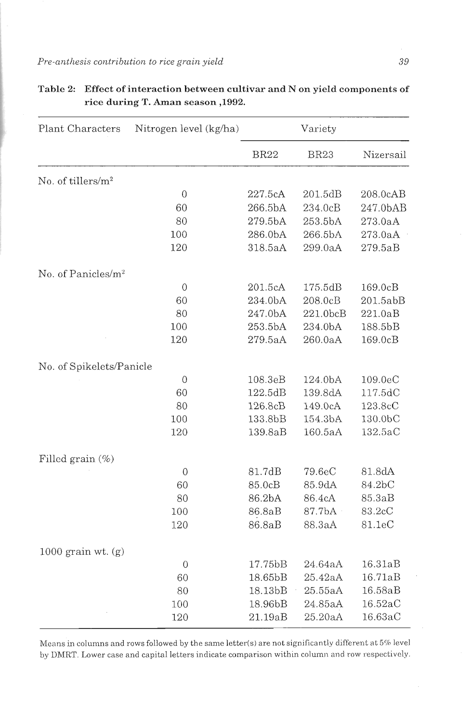| Plant Characters               | Nitrogen level (kg/ha) | Variety     |             |           |
|--------------------------------|------------------------|-------------|-------------|-----------|
|                                |                        | <b>BR22</b> | <b>BR23</b> | Nizersail |
| No. of tillers/m <sup>2</sup>  |                        |             |             |           |
|                                | $\overline{0}$         | 227.5cA     | 201.5dB     | 208.0cAB  |
|                                | 60                     | 266.5bA     | 234.0cB     | 247.0bAB  |
|                                | 80                     | 279.5bA     | 253.5bA     | 273.0aA   |
|                                | 100                    | 286.0bA     | 266.5bA     | 273.0aA   |
|                                | 120                    | 318.5aA     | 299.0aA     | 279.5aB   |
| No. of Panicles/m <sup>2</sup> |                        |             |             |           |
|                                | $\boldsymbol{0}$       | 201.5cA     | 175.5dB     | 169.0cB   |
|                                | 60                     | 234.0bA     | 208.0cB     | 201.5abB  |
|                                | 80                     | 247.0bA     | 221.0bcB    | 221.0aB   |
|                                | 100                    | 253.5bA     | 234.0bA     | 188.5bB   |
|                                | 120                    | 279.5aA     | 260.0aA     | 169.0cB   |
| No. of Spikelets/Panicle       |                        |             |             |           |
|                                | $\mathbf 0$            | 108.3eB     | 124.0bA     | 109.0eC   |
|                                | 60                     | 122.5dB     | 139.8dA     | 117.5dC   |
|                                | 80                     | 126.8cB     | 149.0cA     | 123.8cC   |
|                                | 100                    | 133.8bB     | 154.3bA     | 130.0bC   |
|                                | 120                    | 139.8aB     | 160.5aA     | 132.5aC   |
| Filled grain (%)               |                        |             |             |           |
|                                | 0                      | 81.7dB      | 79.6eC      | 81.8dA    |
|                                | 60                     | 85.0cB      | 85.9dA      | 84.2bC    |
|                                | 80                     | 86.2bA      | 86.4cA      | 85.3aB    |
|                                | 100                    | 86.8aB      | 87.7bA      | 83.2cC    |
|                                | 120                    | 86.8aB      | 88.3aA      | 81.1eC    |
| 1000 grain wt. $(g)$           |                        |             |             |           |
|                                | $\overline{0}$         | 17.75bB     | 24.64aA     | 16.31aB   |
|                                | 60                     | 18.65bB     | 25.42aA     | 16.71aB   |
|                                | 80                     | 18.13bB     | 25.55aA     | 16.58aB   |
|                                | 100                    | 18.96bB     | 24.85aA     | 16.52aC   |
|                                | 120                    | 21.19aB     | 25.20aA     | 16.63aC   |

**Table 2: Effect of interaction between cultivar and N on yield components of rice during T. Aman season ,1992.** 

Means in columns and rows followed by the same letter(s) are not significantly different at 5% level by DMRT. Lower case and capital letters indicate comparison within column and row respectively.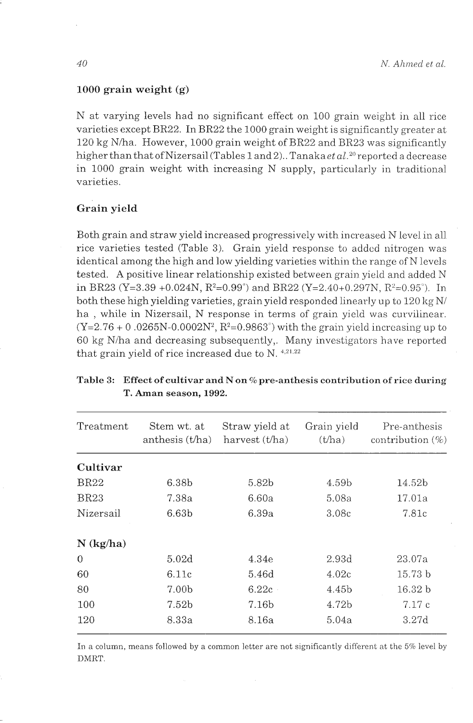## **1000 grain weight (g)**

N at varying levels had no significant effect on 100 grain weight in all rice varieties except BR22. In BR22 the 1000 grain weight is significantly greater at 120 kg N/ha. However, 1000 grain weight of BR22 and BR23 was significantly higher than that of Nizersail (Tables 1 and 2).. Tanaka *et* a1.2"reportcd a decrease in 1000 grain weight with increasing N supply, particularly in traditional varieties.

## **Grain yield**

Both grain and straw yield increased progressively with increased N level in al.1 rice varieties tested (Table 3). Grain yield response to added nitrogen was identical among the high and low yielding varieties within the range of N levels tested. A positive linear relationship existed between grain yield and added N in BR23 (Y=3.39 +0.024N,  $R^2=0.99^{\circ}$ ) and BR22 (Y=2.40+0.297N,  $R^2=0.95^{\circ}$ ). In both these high yielding varieties, grain yield responded linearly up to 120 kg N/ ha , while in Nizersail, N response in terms of grain yield was curvilinear.  $(Y=2.76 + 0.0265N-0.0002N^2, R^2=0.9863^{\circ})$  with the grain yield increasing up to 60 kg N/ha and decreasing subsequently,. Many investigators have reported that grain yield of rice increased due to N. **4:2'22** 

| Treatment   | Stem wt. at<br>anthesis $(t/ha)$ | Straw yield at<br>harvest (t/ha) | Grain yield<br>(t/ha) | Pre-anthesis<br>contribution $(\%)$ |
|-------------|----------------------------------|----------------------------------|-----------------------|-------------------------------------|
| Cultivar    |                                  |                                  |                       |                                     |
| <b>BR22</b> | 6.38b                            | 5.82b                            | 4.59b                 | 14.52b                              |
| <b>BR23</b> | 7.38a                            | 6.60a                            | 5.08a                 | 17.01a                              |
| Nizersail   | 6.63 <sub>b</sub>                | 6.39a                            | 3.08c                 | 7.81c                               |
| $N$ (kg/ha) |                                  |                                  |                       |                                     |
| $\theta$    | 5.02d                            | 4.34e                            | 2.93d                 | 23.07a                              |
| 60          | 6.11c                            | 5.46d                            | 4.02c                 | 15.73 b                             |
| 80          | 7.00b                            | 6.22c                            | 4.45b                 | 16.32 b                             |
| 100         | 7.52b                            | 7.16b                            | 4.72b                 | 7.17c                               |
| 120         | 8.33a                            | 8.16a                            | 5.04a                 | 3.27d                               |

## Table 3: Effect of cultivar and N on % pre-anthesis contribution of rice during **T. Aman season, 1992.**

In a column, means followed by a common letter are not significantly different at the 5% level by DMRT.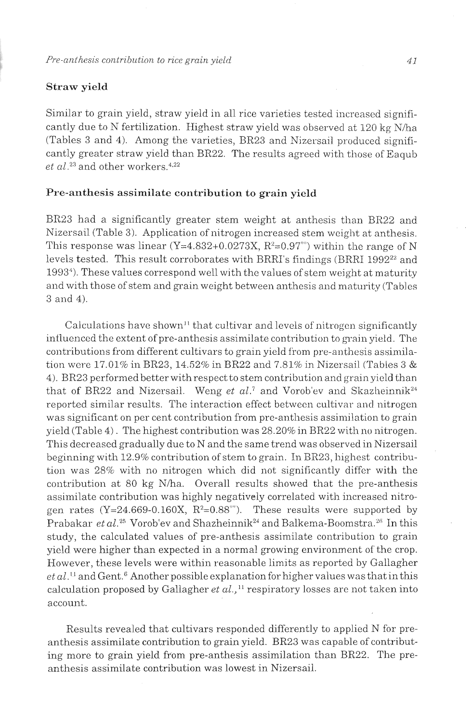## **Straw yield**

Similar to grain yield, straw yield in all rice varieties tested increased significantly due to N fertilization. Highest straw yield was observed at 120 kg N/ha (Tables 3 and 4). Among the varieties, BR23 and Nizersail produced significantly greater straw yield than BR22. The results agreed with those of Eaqub  $et~al.^{23}$  and other workers.<sup>4,22</sup>

## **Pre-anthesis assimilate contribution to grain yield**

BR23 had a significantly greater stem weight at anthesis than BR22 and Nizersail (Table 3). Application of nitrogen increased stem weight at anthesis. This response was linear (Y=4.832+0.0273X,  $R^2=0.97^{**}$ ) within the range of N levels tested. This result corroborates with BRRI's findings (BRRI 1992<sup>22</sup> and 1993<sup>4</sup>). These values correspond well with the values of stem weight at maturity and with those of stem and grain weight between anthesis and maturity (Tables 3 and 4).

Calculations have shown<sup>11</sup> that cultivar and levels of nitrogen significantly influenced the extent of pre-anthesis assimilate contribution to grain yield. The contributions from different cultivars to grain yield from pre-anthesis assimilation wcr-e 17.01% in **BR23,** 14.52% in **BR22** and 7.81% **in** Nizersail (Tables **3** & **4).** BR23 performed better withrespect to stem contribution and grain yi.cld than that of BR22 and Nizersail. Weng *et al.*<sup>7</sup> and Vorob'ev and Skazheinnik<sup>24</sup> reported similar results. The interaction effect between cultivar and nitrogen was significant on per cent contribution from pre-anthesis assimilation to grain yield (Table 4). The highest contribution was  $28.20\%$  in BR22 with no nitrogen. This decreased gradually due to N and the same trend was observed in Nizersail beginning with 12.9% contribution of stem to grain.. In BR23, highest contribution was 28% with no nitrogen which did not significantly differ with the contribution at 80 kg N/ha. Overall results showed that the pre-anthesis assimilate contribution was highly negatively correlated with increased nitrogen rates (Y=24.669-0.160X,  $R^2=0.88^{\circ\circ}$ ). These results were supported by Prabakar *et al.*<sup>25</sup> Vorob'ev and Shazheinnik<sup>24</sup> and Balkema-Boomstra.<sup>26</sup> In this study, the calculated values of pre-anthesis assimilate contribution to grain yield were higher than expected in a normal growing environment of the crop. However, these levels were within reasonable limits as reported by Gallagher  $et al.$ <sup>11</sup> and Gent.<sup>6</sup> Another possible explanation for higher values was that in this calculation proposed by Gallagher *et*  $al$ , <sup>11</sup> respiratory losses are not taken into account.

Results revealed that cultivars responded differently to applied N for preanthesis assimilate contribution to grain yield. BR23 was capable of contributing more to grain yield from pre-anthesis assimilation than BR22. The preanthesis assimilate contribution was lowest in Nizersail.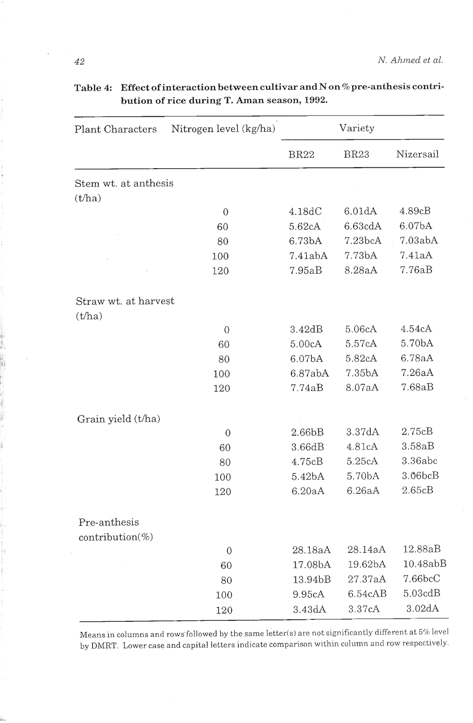| <b>Plant Characters</b> | Nitrogen level (kg/ha) | Variety     |             |           |
|-------------------------|------------------------|-------------|-------------|-----------|
|                         |                        | <b>BR22</b> | <b>BR23</b> | Nizersail |
| Stem wt. at anthesis    |                        |             |             |           |
| (t/ha)                  |                        |             |             |           |
|                         | $\theta$               | 4.18dC      | 6.01dA      | 4.89cB    |
|                         | 60                     | 5.62cA      | 6.63cdA     | 6.07bA    |
|                         | 80                     | 6.73bA      | 7.23bcA     | 7.03abA   |
|                         | 100                    | 7.41abA     | 7.73bA      | 7.41aA    |
|                         | 120                    | 7.95aB      | 8.28aA      | 7.76aB    |
| Straw wt. at harvest    |                        |             |             |           |
| (t/ha)                  |                        |             |             |           |
|                         | $\mathbf{0}$           | 3.42dB      | 5.06cA      | 4.54cA    |
|                         | 60                     | 5.00cA      | 5.57cA      | 5.70bA    |
|                         | 80                     | 6.07bA      | 5.82cA      | 6.78aA    |
|                         | 100                    | 6.87abA     | 7.35bA      | 7.26aA    |
|                         | 120                    | 7.74aB      | 8.07aA      | 7.68aB    |
| Grain yield (t/ha)      |                        |             |             |           |
|                         | $\mathbf 0$            | 2.66bB      | 3.37dA      | 2.75cB    |
|                         | 60                     | 3.66dB      | 4.81cA      | 3.58aB    |
|                         | 80                     | 4.75cB      | 5.25cA      | 3.36abc   |
|                         | 100                    | 5.42bA      | 5.70bA      | 3.06bcB   |
|                         | 120                    | 6.20aA      | 6.26aA      | 2.65cB    |
| Pre-anthesis            |                        |             |             |           |
| contribution(%)         |                        |             |             |           |
|                         | $\mathbf{0}$           | 28.18aA     | 28.14aA     | 12.88aB   |
|                         | 60                     | 17.08bA     | 19.62bA     | 10.48abB  |
|                         | 80                     | 13.94bB     | 27.37aA     | 7.66bcC   |
|                         | 100                    | 9.95cA      | 6.54cAB     | 5.03cdB   |
|                         | 120                    | 3.43dA      | 3.37cA      | 3.02dA    |

**Table 4: Effect of interaction between cultivar and N on %pre-anthesis contribution of rice during T. Aman season, 1992.** 

Means in columns and rows followed by the same letter(s) are not significantly different at 5% level by DMRT. Lower case and capital letters indicate comparison within column ancl row respectively.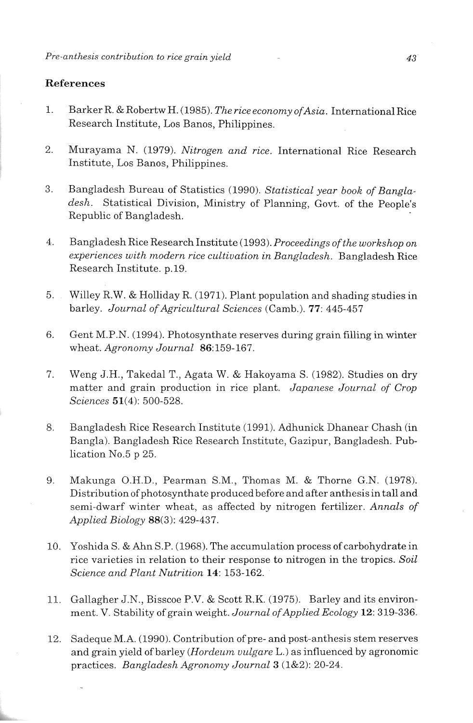## **References**

- 1. Barker R. & Robertw H. (1985). *The rice economy of Asia*. International Rice Research Institute, Los Banos, Philippines.
- 2. Murayama N. (1979). *Nitrogen and rice.* International Rice Research Institute, Los Banos, Philippines.
- 3. Bangladesh Bureau of Statistics (1990). *Statistical year book of Bangladeslz.* Statistical Division, Ministry of Planning, Govt. of the People's Republic of Bangladesh.
- 4. Bangladesh Rice Research Institute (1993). *Proceedings of the workshop on experiences with modern rice cultivation in Bangladesh.* Bangladesh Rice Research Institute. p.19.
- 5. Willey R.W. & Holliday R. (1971). Plant population and shading studies in barley. *Journal of Agricultural Sciences* (Camb.). **77**: 445-457
- 6. Gent M.P.N. (1994). Photosynthate reserves during grain filling in winter wheat. *Agronomy Journal* 86:159-167.
- *7.* Weng J.H., Takedal T., Agata W. & Hakoyama S. (1982). Studies on dry matter and grain production in rice plant. *Japanese Journal of Crop Sciences* 51(4): 500-528.
- 8. Bangladesh Rice Research Institute (1991). Adhunick Dhanear Chash (in Bangla). Bangladesh Rice Research Institute, Gazipur, Bangladesh. Publication No.5 p 25.
- 9. Makunga O.H.D., Pearman S.M., Thomas M. & Thorne G.N. (1978). Distribution of photosynthate produced before and after anthesis in tall and semi-dwarf winter wheat, as affected by nitrogen fertilizer. *Annals of Applied Biology* 88(3): 429-437.
- 10. Yoshida S. & Ahn S.P. (1968). The accumulation process of carbohydrate in rice varieties in relation to their response to nitrogen in the tropics. *Soil Science and Plant Nutrition 14:* 153-162.
- 11. Gallagher J.N., Bisscoe P.V. & Scott R.K. (1975). Barley and its environment. V. Stability of grain weight. *Jozirnal ofApplied Ecology* 12: 319-336.
- 12. Sadeque M.A. (1990). Contribution of pre- and post-anthesis stem reserves and grain yield of barley *(Hordeum vulgare L.)* as influenced by agronomic practices. *Bangladesh Agronomy Journal* 3 (1&2): 20-24.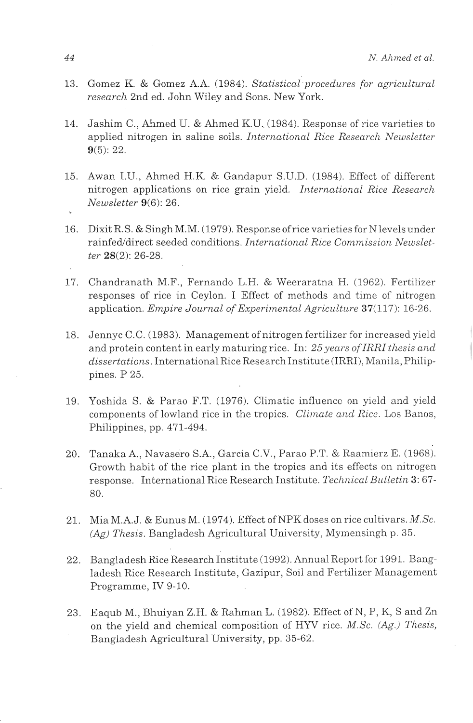- 13. Gomez K. & Gomez A.A. (1984). *Statistical procedures for agricultural research* 2nd ed. John Wiley and Sons. New York.
- 14. Jashim C., Ahmed U. & Ahmed K.U. (1984). Response of rice varieties to applied nitrogen in saline soils. *International Rice Researcl~ Newsletter*  9(5): 22.
- 15. Awan I.U., Ahmed H.K. & Gandapur S.U.D. (1984). Effect of different nitrogen applications on rice grain yield. *International Rice Research Newsletter* 9(6): 26.
- 16. Dixit R.S. & Singh M.M. (1979). Response ofrice varieties for N levels under rainfed/direct seeded conditions. *International Rice Commission Newsletter* 28(2): 26-28.
- 17. Chandranath M.F., Fernando L.H. & Weeraratna H. (1962). Fertilizer responses of rice in Ceylon. I Effect of methods and time of nitrogen application. *Empire Journal of Experimental Agriculture* 37(117): 16-26.
- 18. Jennyc C.C. (1983). Management of nitrogen fertilizer for increased yield and protein content in early maturing rice. In: 25 years of IRRI thesis and *dissertations.* International Rice ResearchInstitute (IRRI), Manila, Philippines. P 25.
- 19. Yoshida S. & Parao F.T. (1976). Climatic influence on yield and yield components of lowland rice in the tropics. *Climate and Rice*. Los Banos, Philippines, pp. 471-494.
- 20. Tanaka A., Navasero S.A., Garcia C.V., Parao P.T. & Raamierz E. (1968). Growth habit of the rice plant in the tropics and its effects on nitrogen response. International Rice Research Institute. *Technical Bulletin* **3:** 67- 80.
- 21. Mia M.A.J. & Eunus M. (1974). Effect of NPK doses on rice cultivars. *M.Sc.*  **(4)** *Tlzesis.* Bangladesh Agricultural University, Mymensingh p. *35.*
- 22. Bangladesh Rice Research Institute (1992). Annual. Report for 1991. Bangladesh Rice Research Institute, Gazipur, Soil and Fertilizer Management Programme, IV 9-10.
- 23. Eaqub M., Bhuiyan Z.H. & Rahman L. (1982). Effect of N, P, K, S and Zn on the yield and chemical composition of HYV rice. *M.Sc.* (Ag.) Thesis, Bangladesh Agricultural University, pp. 35-62.